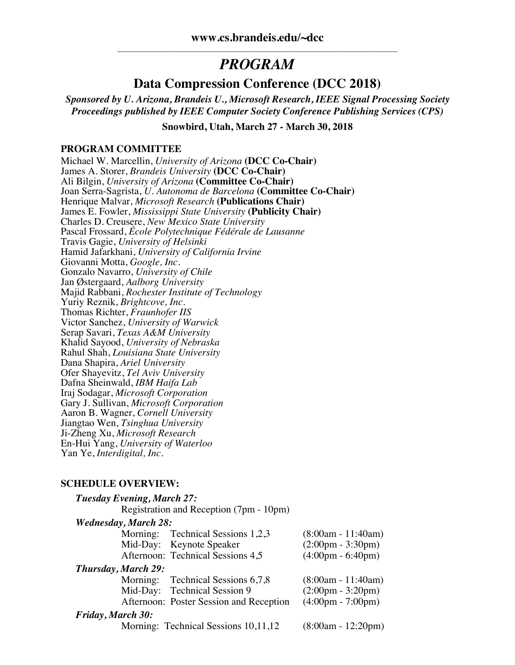# *PROGRAM*

#### **Data Compression Conference (DCC 2018)**

*Sponsored by U. Arizona, Brandeis U., Microsoft Research, IEEE Signal Processing Society Proceedings published by IEEE Computer Society Conference Publishing Services (CPS)*

**Snowbird, Utah, March 27 - March 30, 2018**

#### **PROGRAM COMMITTEE**

Michael W. Marcellin, *University of Arizona* **(DCC Co-Chair)** James A. Storer, *Brandeis University* **(DCC Co-Chair)** Ali Bilgin, *University of Arizona* **(Committee Co-Chair)** Joan Serra-Sagrista, *U. Autonoma de Barcelona* **(Committee Co-Chair)** Henrique Malvar, *Microsoft Research* **(Publications Chair)** James E. Fowler, *Mississippi State University* **(Publicity Chair)** Charles D. Creusere, *New Mexico State University* Pascal Frossard, *École Polytechnique Fédérale de Lausanne* Travis Gagie, *University of Helsinki* Hamid Jafarkhani, *University of California Irvine* Giovanni Motta, *Google, Inc.* Gonzalo Navarro, *University of Chile* Jan Østergaard, *Aalborg University* Majid Rabbani, *Rochester Institute of Technology* Yuriy Reznik, *Brightcove, Inc.* Thomas Richter, *Fraunhofer IIS* Victor Sanchez, *University of Warwick* Serap Savari, *Texas A&M University* Khalid Sayood, *University of Nebraska* Rahul Shah, *Louisiana State University* Dana Shapira, *Ariel University* Ofer Shayevitz, *Tel Aviv University* Dafna Sheinwald, *IBM Haifa Lab* Iraj Sodagar, *Microsoft Corporation* Gary J. Sullivan, *Microsoft Corporation* Aaron B. Wagner, *Cornell University* Jiangtao Wen, *Tsinghua University* Ji-Zheng Xu, *Microsoft Research* En-Hui Yang, *University of Waterloo* Yan Ye, *Interdigital, Inc.*

#### **SCHEDULE OVERVIEW:**

| <b>Tuesday Evening, March 27:</b><br>Registration and Reception (7pm - 10pm) |                                     |
|------------------------------------------------------------------------------|-------------------------------------|
| <b>Wednesday, March 28:</b>                                                  |                                     |
| Morning: Technical Sessions 1,2,3                                            | $(8:00am - 11:40am)$                |
| Mid-Day: Keynote Speaker                                                     | $(2:00 \text{pm} - 3:30 \text{pm})$ |
| Afternoon: Technical Sessions 4,5                                            | $(4:00 \text{pm} - 6:40 \text{pm})$ |
| <b>Thursday, March 29:</b>                                                   |                                     |
| Morning: Technical Sessions 6,7,8                                            | $(8:00am - 11:40am)$                |
| Mid-Day: Technical Session 9                                                 | $(2:00 \text{pm} - 3:20 \text{pm})$ |
| Afternoon: Poster Session and Reception                                      | $(4:00 \text{pm} - 7:00 \text{pm})$ |
| Friday, March 30:                                                            |                                     |
| Morning: Technical Sessions 10,11,12                                         | $(8:00am - 12:20pm)$                |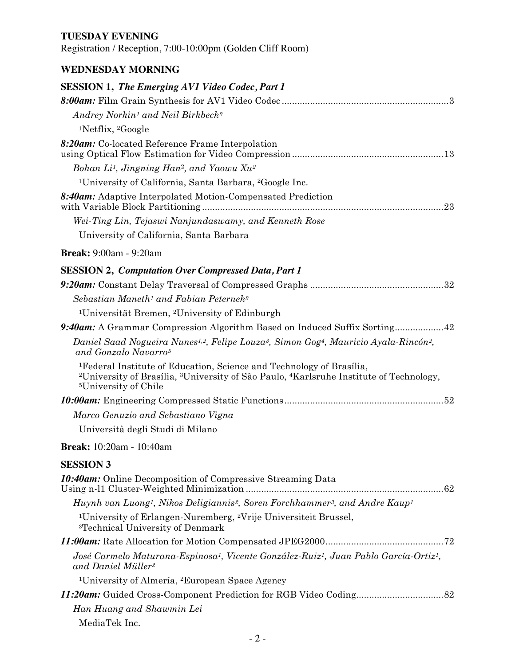#### **TUESDAY EVENING**

Registration / Reception, 7:00-10:00pm (Golden Cliff Room)

#### **WEDNESDAY MORNING**

| <b>SESSION 1, The Emerging AV1 Video Codec, Part 1</b>                                                                                                                                                                                             |
|----------------------------------------------------------------------------------------------------------------------------------------------------------------------------------------------------------------------------------------------------|
|                                                                                                                                                                                                                                                    |
| Andrey Norkin <sup>1</sup> and Neil Birkbeck <sup>2</sup>                                                                                                                                                                                          |
| <sup>1</sup> Netflix, $^{2}Google$                                                                                                                                                                                                                 |
| 8:20am: Co-located Reference Frame Interpolation                                                                                                                                                                                                   |
| Bohan Li <sup>1</sup> , Jingning Han <sup>2</sup> , and Yaowu Xu <sup>2</sup>                                                                                                                                                                      |
| <sup>1</sup> University of California, Santa Barbara, <sup>2</sup> Google Inc.                                                                                                                                                                     |
| 8:40am: Adaptive Interpolated Motion-Compensated Prediction<br>.23                                                                                                                                                                                 |
| Wei-Ting Lin, Tejaswi Nanjundaswamy, and Kenneth Rose                                                                                                                                                                                              |
| University of California, Santa Barbara                                                                                                                                                                                                            |
| <b>Break: 9:00am - 9:20am</b>                                                                                                                                                                                                                      |
| <b>SESSION 2, Computation Over Compressed Data, Part 1</b>                                                                                                                                                                                         |
|                                                                                                                                                                                                                                                    |
| Sebastian Maneth <sup>1</sup> and Fabian Peternek <sup>2</sup>                                                                                                                                                                                     |
| <sup>1</sup> Universität Bremen, <sup>2</sup> University of Edinburgh                                                                                                                                                                              |
| <b>9:40am:</b> A Grammar Compression Algorithm Based on Induced Suffix Sorting 42                                                                                                                                                                  |
| Daniel Saad Nogueira Nunes <sup>1,2</sup> , Felipe Louza <sup>3</sup> , Simon Gog <sup>4</sup> , Mauricio Ayala-Rincón <sup>2</sup> ,<br>and Gonzalo Navarro <sup>5</sup>                                                                          |
| <sup>1</sup> Federal Institute of Education, Science and Technology of Brasília,<br><sup>2</sup> University of Brasília, <sup>3</sup> University of São Paulo, <sup>4</sup> Karlsruhe Institute of Technology,<br><sup>5</sup> University of Chile |
|                                                                                                                                                                                                                                                    |
| Marco Genuzio and Sebastiano Vigna                                                                                                                                                                                                                 |
| Università degli Studi di Milano                                                                                                                                                                                                                   |
| <b>Break:</b> 10:20am - 10:40am                                                                                                                                                                                                                    |
| <b>SESSION 3</b>                                                                                                                                                                                                                                   |
| <b>10:40am:</b> Online Decomposition of Compressive Streaming Data                                                                                                                                                                                 |
| Huynh van Luong <sup>1</sup> , Nikos Deligiannis <sup>2</sup> , Soren Forchhammer <sup>3</sup> , and Andre Kaup <sup>1</sup>                                                                                                                       |
| <sup>1</sup> University of Erlangen-Nuremberg, <sup>2</sup> Vrije Universiteit Brussel,<br><sup>3</sup> Technical University of Denmark                                                                                                            |
|                                                                                                                                                                                                                                                    |
| José Carmelo Maturana-Espinosa <sup>1</sup> , Vicente González-Ruiz <sup>1</sup> , Juan Pablo García-Ortiz <sup>1</sup> ,<br>and Daniel Müller <sup>2</sup>                                                                                        |
| <sup>1</sup> University of Almería, <sup>2</sup> European Space Agency                                                                                                                                                                             |
|                                                                                                                                                                                                                                                    |
| Han Huang and Shawmin Lei                                                                                                                                                                                                                          |
| MediaTek Inc.                                                                                                                                                                                                                                      |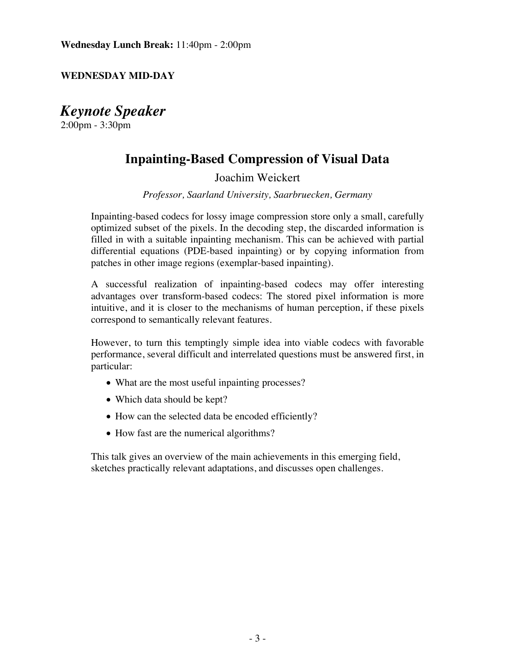#### **WEDNESDAY MID-DAY**

*Keynote Speaker* 2:00pm - 3:30pm

## **Inpainting-Based Compression of Visual Data**

Joachim Weickert

*Professor, Saarland University, Saarbruecken, Germany*

Inpainting-based codecs for lossy image compression store only a small, carefully optimized subset of the pixels. In the decoding step, the discarded information is filled in with a suitable inpainting mechanism. This can be achieved with partial differential equations (PDE-based inpainting) or by copying information from patches in other image regions (exemplar-based inpainting).

A successful realization of inpainting-based codecs may offer interesting advantages over transform-based codecs: The stored pixel information is more intuitive, and it is closer to the mechanisms of human perception, if these pixels correspond to semantically relevant features.

However, to turn this temptingly simple idea into viable codecs with favorable performance, several difficult and interrelated questions must be answered first, in particular:

- What are the most useful inpainting processes?
- Which data should be kept?
- How can the selected data be encoded efficiently?
- How fast are the numerical algorithms?

This talk gives an overview of the main achievements in this emerging field, sketches practically relevant adaptations, and discusses open challenges.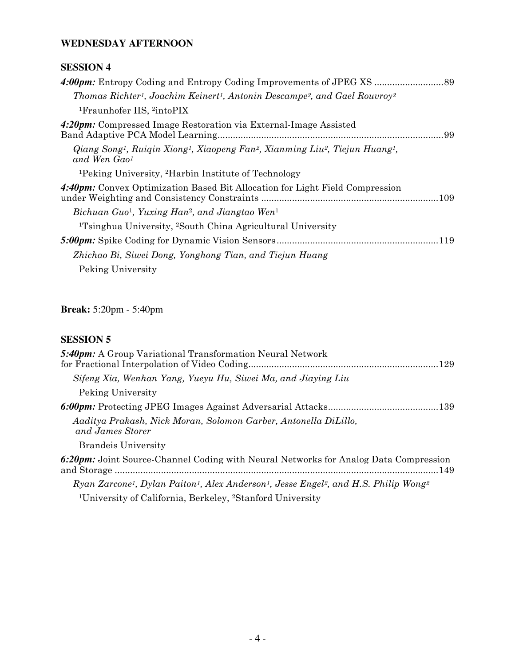### **WEDNESDAY AFTERNOON**

### **SESSION 4**

| Thomas Richter <sup>1</sup> , Joachim Keinert <sup>1</sup> , Antonin Descampe <sup>2</sup> , and Gael Rouvroy <sup>2</sup>                                            |
|-----------------------------------------------------------------------------------------------------------------------------------------------------------------------|
| <sup>1</sup> Fraunhofer IIS, <sup>2</sup> intoPIX                                                                                                                     |
| 4:20pm: Compressed Image Restoration via External-Image Assisted                                                                                                      |
| Qiang Song <sup>1</sup> , Ruiqin Xiong <sup>1</sup> , Xiaopeng Fan <sup>2</sup> , Xianming Liu <sup>2</sup> , Tiejun Huang <sup>1</sup> ,<br>and Wen Gao <sup>1</sup> |
| <sup>1</sup> Peking University, <sup>2</sup> Harbin Institute of Technology                                                                                           |
| 4:40pm: Convex Optimization Based Bit Allocation for Light Field Compression                                                                                          |
| Bichuan Guo <sup>1</sup> , Yuxing Han <sup>2</sup> , and Jiangtao Wen <sup>1</sup>                                                                                    |
| <sup>1</sup> Tsinghua University, <sup>2</sup> South China Agricultural University                                                                                    |
|                                                                                                                                                                       |
| Zhichao Bi, Siwei Dong, Yonghong Tian, and Tiejun Huang                                                                                                               |
| Peking University                                                                                                                                                     |
|                                                                                                                                                                       |

**Break:** 5:20pm - 5:40pm

#### **SESSION 5**

| <b>5:40pm:</b> A Group Variational Transformation Neural Network                                                                                  |
|---------------------------------------------------------------------------------------------------------------------------------------------------|
| Sifeng Xia, Wenhan Yang, Yueyu Hu, Siwei Ma, and Jiaying Liu                                                                                      |
| Peking University                                                                                                                                 |
|                                                                                                                                                   |
| Aaditya Prakash, Nick Moran, Solomon Garber, Antonella DiLillo,<br>and James Storer                                                               |
| <b>Brandeis University</b>                                                                                                                        |
| 6:20pm: Joint Source-Channel Coding with Neural Networks for Analog Data Compression                                                              |
| Ryan Zarcone <sup>1</sup> , Dylan Paiton <sup>1</sup> , Alex Anderson <sup>1</sup> , Jesse Engel <sup>2</sup> , and H.S. Philip Wong <sup>2</sup> |
| <sup>1</sup> University of California, Berkeley, <sup>2</sup> Stanford University                                                                 |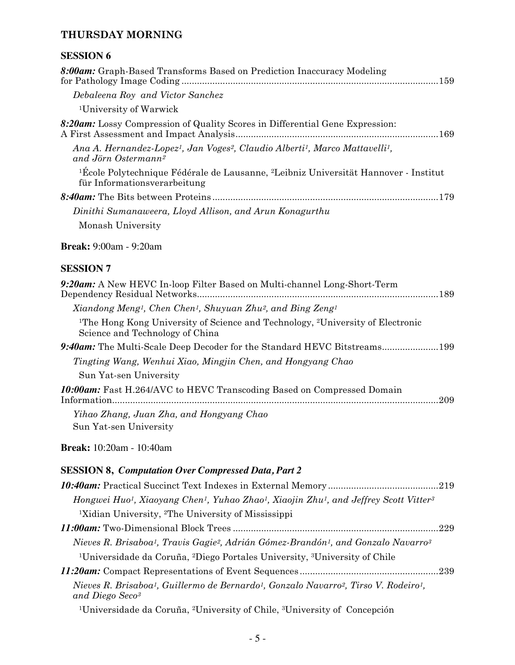### **THURSDAY MORNING**

#### **SESSION 6**

| 8:00am: Graph-Based Transforms Based on Prediction Inaccuracy Modeling                                                                                           |
|------------------------------------------------------------------------------------------------------------------------------------------------------------------|
| Debaleena Roy and Victor Sanchez                                                                                                                                 |
| <sup>1</sup> University of Warwick                                                                                                                               |
| 8:20am: Lossy Compression of Quality Scores in Differential Gene Expression:                                                                                     |
| Ana A. Hernandez-Lopez <sup>1</sup> , Jan Voges <sup>2</sup> , Claudio Alberti <sup>1</sup> , Marco Mattavelli <sup>1</sup> ,<br>and Jörn Ostermann <sup>2</sup> |
| <sup>1</sup> Ecole Polytechnique Fédérale de Lausanne, <sup>2</sup> Leibniz Universität Hannover - Institut<br>für Informationsverarbeitung                      |
|                                                                                                                                                                  |
| Dinithi Sumanaweera, Lloyd Allison, and Arun Konagurthu                                                                                                          |
| Monash University                                                                                                                                                |
| <b>Break:</b> 9:00am - 9:20am                                                                                                                                    |
| <b>SESSION 7</b>                                                                                                                                                 |
| 9:20am: A New HEVC In-loop Filter Based on Multi-channel Long-Short-Term                                                                                         |

| Xiandong Meng <sup>1</sup> , Chen Chen <sup>1</sup> , Shuyuan Zhu <sup>2</sup> , and Bing Zeng <sup>1</sup>                               |  |
|-------------------------------------------------------------------------------------------------------------------------------------------|--|
| <sup>1</sup> The Hong Kong University of Science and Technology, <sup>2</sup> University of Electronic<br>Science and Technology of China |  |
| 9:40am: The Multi-Scale Deep Decoder for the Standard HEVC Bitstreams199                                                                  |  |
| Tingting Wang, Wenhui Xiao, Mingjin Chen, and Hongyang Chao                                                                               |  |
| Sun Yat-sen University                                                                                                                    |  |
| <b>10:00am:</b> Fast H.264/AVC to HEVC Transcoding Based on Compressed Domain                                                             |  |
| Yihao Zhang, Juan Zha, and Hongyang Chao                                                                                                  |  |
| Sun Yat-sen University                                                                                                                    |  |

**Break:** 10:20am - 10:40am

#### **SESSION 8,** *Computation Over Compressed Data, Part 2*

| Hongwei Huo <sup>1</sup> , Xiaoyang Chen <sup>1</sup> , Yuhao Zhao <sup>1</sup> , Xiaojin Zhu <sup>1</sup> , and Jeffrey Scott Vitter <sup>3</sup>                   |  |
|----------------------------------------------------------------------------------------------------------------------------------------------------------------------|--|
| <sup>1</sup> Xidian University, <sup>2</sup> The University of Mississippi                                                                                           |  |
|                                                                                                                                                                      |  |
| Nieves R. Brisaboa <sup>1</sup> , Travis Gagie <sup>2</sup> , Adrián Gómez-Brandón <sup>1</sup> , and Gonzalo Navarro <sup>3</sup>                                   |  |
| <sup>1</sup> Universidade da Coruña, <sup>2</sup> Diego Portales University, <sup>3</sup> University of Chile                                                        |  |
|                                                                                                                                                                      |  |
| Nieves R. Brisaboa <sup>1</sup> , Guillermo de Bernardo <sup>1</sup> , Gonzalo Navarro <sup>2</sup> , Tirso V. Rodeiro <sup>1</sup> ,<br>and Diego Seco <sup>3</sup> |  |
| <sup>1</sup> Universidade da Coruña, <sup>2</sup> University of Chile, <sup>3</sup> University of Concepción                                                         |  |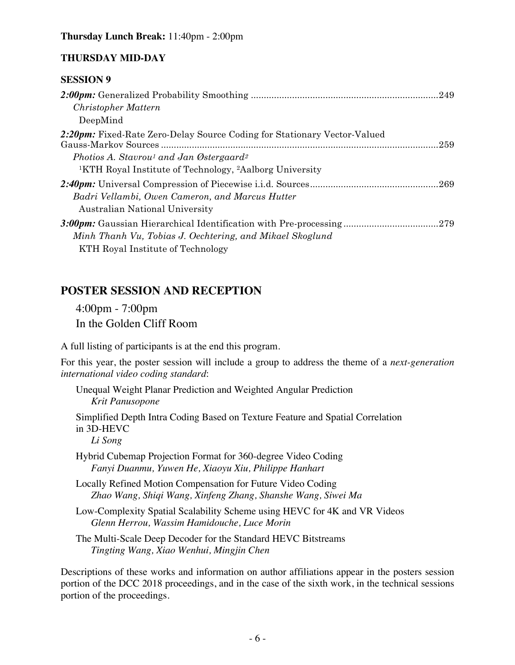#### **THURSDAY MID-DAY**

#### **SESSION 9**

| Christopher Mattern                                                             |  |
|---------------------------------------------------------------------------------|--|
| DeepMind                                                                        |  |
| 2:20pm: Fixed-Rate Zero-Delay Source Coding for Stationary Vector-Valued        |  |
| Photios A. Stavrou <sup>1</sup> and Jan Østergaard <sup>2</sup>                 |  |
| <sup>1</sup> KTH Royal Institute of Technology, <sup>2</sup> Aalborg University |  |
|                                                                                 |  |
| Badri Vellambi, Owen Cameron, and Marcus Hutter                                 |  |
| <b>Australian National University</b>                                           |  |
|                                                                                 |  |
| Minh Thanh Vu, Tobias J. Oechtering, and Mikael Skoglund                        |  |
| KTH Royal Institute of Technology                                               |  |

## **POSTER SESSION AND RECEPTION**

4:00pm - 7:00pm In the Golden Cliff Room

A full listing of participants is at the end this program.

For this year, the poster session will include a group to address the theme of a *next-generation international video coding standard*:

Unequal Weight Planar Prediction and Weighted Angular Prediction *Krit Panusopone*

Simplified Depth Intra Coding Based on Texture Feature and Spatial Correlation in 3D-HEVC

*Li Song*

- Hybrid Cubemap Projection Format for 360-degree Video Coding *Fanyi Duanmu, Yuwen He, Xiaoyu Xiu, Philippe Hanhart*
- Locally Refined Motion Compensation for Future Video Coding *Zhao Wang, Shiqi Wang, Xinfeng Zhang, Shanshe Wang, Siwei Ma*
- Low-Complexity Spatial Scalability Scheme using HEVC for 4K and VR Videos *Glenn Herrou, Wassim Hamidouche, Luce Morin*
- The Multi-Scale Deep Decoder for the Standard HEVC Bitstreams *Tingting Wang, Xiao Wenhui, Mingjin Chen*

Descriptions of these works and information on author affiliations appear in the posters session portion of the DCC 2018 proceedings, and in the case of the sixth work, in the technical sessions portion of the proceedings.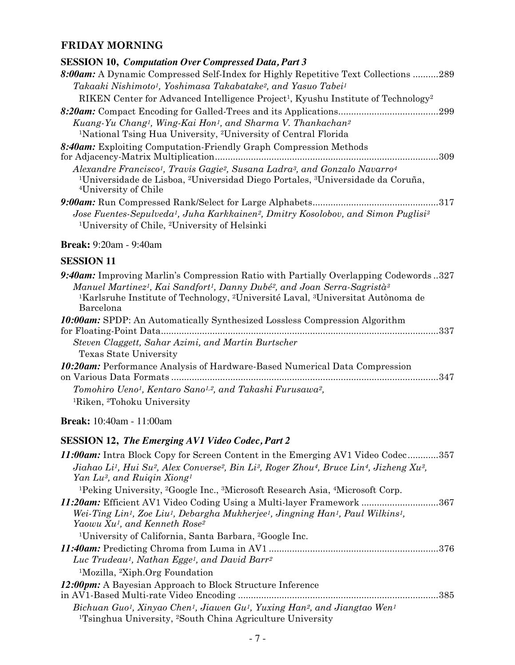#### **FRIDAY MORNING**

### **SESSION 10,** *Computation Over Compressed Data, Part 3*

| 8:00am: A Dynamic Compressed Self-Index for Highly Repetitive Text Collections 289                                                                                                                                                                                                    |  |
|---------------------------------------------------------------------------------------------------------------------------------------------------------------------------------------------------------------------------------------------------------------------------------------|--|
| Takaaki Nishimoto <sup>1</sup> , Yoshimasa Takabatake <sup>2</sup> , and Yasuo Tabei <sup>1</sup>                                                                                                                                                                                     |  |
| RIKEN Center for Advanced Intelligence Project <sup>1</sup> , Kyushu Institute of Technology <sup>2</sup>                                                                                                                                                                             |  |
|                                                                                                                                                                                                                                                                                       |  |
| Kuang-Yu Chang <sup>1</sup> , Wing-Kai Hon <sup>1</sup> , and Sharma V. Thankachan <sup>2</sup>                                                                                                                                                                                       |  |
| <sup>1</sup> National Tsing Hua University, <sup>2</sup> University of Central Florida                                                                                                                                                                                                |  |
| 8:40am: Exploiting Computation-Friendly Graph Compression Methods                                                                                                                                                                                                                     |  |
|                                                                                                                                                                                                                                                                                       |  |
| Alexandre Francisco <sup>1</sup> , Travis Gagie <sup>2</sup> , Susana Ladra <sup>3</sup> , and Gonzalo Navarro <sup>4</sup><br><sup>1</sup> Universidade de Lisboa, <sup>2</sup> Universidad Diego Portales, <sup>3</sup> Universidade da Coruña,<br><sup>4</sup> University of Chile |  |
|                                                                                                                                                                                                                                                                                       |  |
| Jose Fuentes-Sepulveda <sup>1</sup> , Juha Karkkainen <sup>2</sup> , Dmitry Kosolobov, and Simon Puglisi <sup>3</sup>                                                                                                                                                                 |  |
| <sup>1</sup> University of Chile, <sup>2</sup> University of Helsinki                                                                                                                                                                                                                 |  |
|                                                                                                                                                                                                                                                                                       |  |

## **Break:** 9:20am - 9:40am

#### **SESSION 11**

| <b>9:40am:</b> Improving Marlin's Compression Ratio with Partially Overlapping Codewords327                                             |  |
|-----------------------------------------------------------------------------------------------------------------------------------------|--|
| Manuel Martinez <sup>1</sup> , Kai Sandfort <sup>1</sup> , Danny Dubé <sup>2</sup> , and Joan Serra-Sagristà <sup>3</sup>               |  |
| <sup>1</sup> Karlsruhe Institute of Technology, <sup>2</sup> Université Laval, <sup>3</sup> Universitat Autònoma de<br><b>Barcelona</b> |  |
| <b>10:00am:</b> SPDP: An Automatically Synthesized Lossless Compression Algorithm                                                       |  |
| Steven Claggett, Sahar Azimi, and Martin Burtscher                                                                                      |  |
| <b>Texas State University</b>                                                                                                           |  |
| <b>10:20am:</b> Performance Analysis of Hardware-Based Numerical Data Compression                                                       |  |
| Tomohiro Ueno <sup>1</sup> , Kentaro Sano <sup>1,2</sup> , and Takashi Furusawa <sup>2</sup> ,                                          |  |
| <sup>1</sup> Riken, <sup>2</sup> Tohoku University                                                                                      |  |

**Break:** 10:40am - 11:00am

## **SESSION 12,** *The Emerging AV1 Video Codec, Part 2*

| <b>11:00am:</b> Intra Block Copy for Screen Content in the Emerging AV1 Video Codec357                                                                                                                |
|-------------------------------------------------------------------------------------------------------------------------------------------------------------------------------------------------------|
| Jiahao Li <sup>1</sup> , Hui Su <sup>2</sup> , Alex Converse <sup>2</sup> , Bin Li <sup>3</sup> , Roger Zhou <sup>4</sup> , Bruce Lin <sup>4</sup> , Jizheng Xu <sup>3</sup> ,                        |
| Yan Lu <sup>3</sup> , and Ruigin Xiong <sup>1</sup>                                                                                                                                                   |
| <sup>1</sup> Peking University, <sup>2</sup> Google Inc., <sup>3</sup> Microsoft Research Asia, <sup>4</sup> Microsoft Corp.                                                                          |
| <b>11:20am:</b> Efficient AV1 Video Coding Using a Multi-layer Framework 367                                                                                                                          |
| Wei-Ting Lin <sup>1</sup> , Zoe Liu <sup>1</sup> , Debargha Mukherjee <sup>1</sup> , Jingning Han <sup>1</sup> , Paul Wilkins <sup>1</sup> ,<br>Yaowu Xu <sup>1</sup> , and Kenneth Rose <sup>2</sup> |
| <sup>1</sup> University of California, Santa Barbara, <sup>2</sup> Google Inc.                                                                                                                        |
|                                                                                                                                                                                                       |
| Luc Trudeau <sup>1</sup> , Nathan Egge <sup>1</sup> , and David Barr <sup>2</sup>                                                                                                                     |
| <sup>1</sup> Mozilla, <sup>2</sup> Xiph.Org Foundation                                                                                                                                                |
| 12:00pm: A Bayesian Approach to Block Structure Inference                                                                                                                                             |
|                                                                                                                                                                                                       |
| Bichuan Guo <sup>1</sup> , Xinyao Chen <sup>1</sup> , Jiawen Gu <sup>1</sup> , Yuxing Han <sup>2</sup> , and Jiangtao Wen <sup>1</sup>                                                                |
| <sup>1</sup> Tsinghua University, <sup>2</sup> South China Agriculture University                                                                                                                     |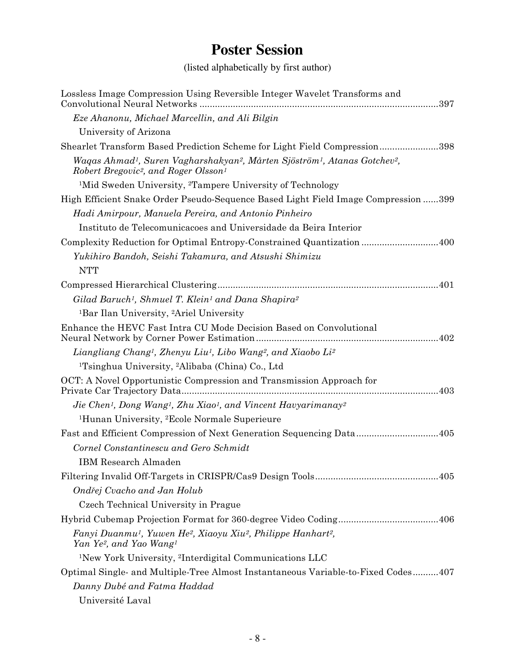# **Poster Session**

(listed alphabetically by first author)

| Lossless Image Compression Using Reversible Integer Wavelet Transforms and                                                                                       |
|------------------------------------------------------------------------------------------------------------------------------------------------------------------|
| Eze Ahanonu, Michael Marcellin, and Ali Bilgin                                                                                                                   |
| University of Arizona                                                                                                                                            |
| Shearlet Transform Based Prediction Scheme for Light Field Compression398                                                                                        |
| Waqas Ahmad <sup>1</sup> , Suren Vagharshakyan², Mårten Sjöström½, Atanas Gotchev²,<br>Robert Bregovic <sup>2</sup> , and Roger Olsson <sup>1</sup>              |
| <sup>1</sup> Mid Sweden University, <sup>2</sup> Tampere University of Technology                                                                                |
| High Efficient Snake Order Pseudo-Sequence Based Light Field Image Compression 399                                                                               |
| Hadi Amirpour, Manuela Pereira, and Antonio Pinheiro                                                                                                             |
| Instituto de Telecomunicacoes and Universidade da Beira Interior                                                                                                 |
| Complexity Reduction for Optimal Entropy-Constrained Quantization 400                                                                                            |
| Yukihiro Bandoh, Seishi Takamura, and Atsushi Shimizu                                                                                                            |
| <b>NTT</b>                                                                                                                                                       |
|                                                                                                                                                                  |
| Gilad Baruch <sup>1</sup> , Shmuel T. Klein <sup>1</sup> and Dana Shapira <sup>2</sup>                                                                           |
| <sup>1</sup> Bar Ilan University, <sup>2</sup> Ariel University                                                                                                  |
| Enhance the HEVC Fast Intra CU Mode Decision Based on Convolutional                                                                                              |
| Liangliang Chang!, Zhenyu Liu!, Libo Wang?, and Xiaobo Li?                                                                                                       |
| <sup>1</sup> Tsinghua University, <sup>2</sup> Alibaba (China) Co., Ltd                                                                                          |
| OCT: A Novel Opportunistic Compression and Transmission Approach for                                                                                             |
| Jie Chen <sup>1</sup> , Dong Wang <sup>1</sup> , Zhu Xiao <sup>1</sup> , and Vincent Havyarimanay <sup>2</sup>                                                   |
| <sup>1</sup> Hunan University, <sup>2</sup> Ecole Normale Superieure                                                                                             |
| Fast and Efficient Compression of Next Generation Sequencing Data405                                                                                             |
| Cornel Constantinescu and Gero Schmidt                                                                                                                           |
| IBM Research Almaden                                                                                                                                             |
|                                                                                                                                                                  |
| Ondřej Cvacho and Jan Holub                                                                                                                                      |
| Czech Technical University in Prague                                                                                                                             |
|                                                                                                                                                                  |
| Fanyi Duanmu <sup>1</sup> , Yuwen He <sup>2</sup> , Xiaoyu Xiu <sup>2</sup> , Philippe Hanhart <sup>2</sup> ,<br>Yan Ye <sup>2</sup> , and Yao Wang <sup>1</sup> |
| <sup>1</sup> New York University, <sup>2</sup> Interdigital Communications LLC                                                                                   |
| Optimal Single- and Multiple-Tree Almost Instantaneous Variable-to-Fixed Codes407                                                                                |
| Danny Dubé and Fatma Haddad                                                                                                                                      |
| Université Laval                                                                                                                                                 |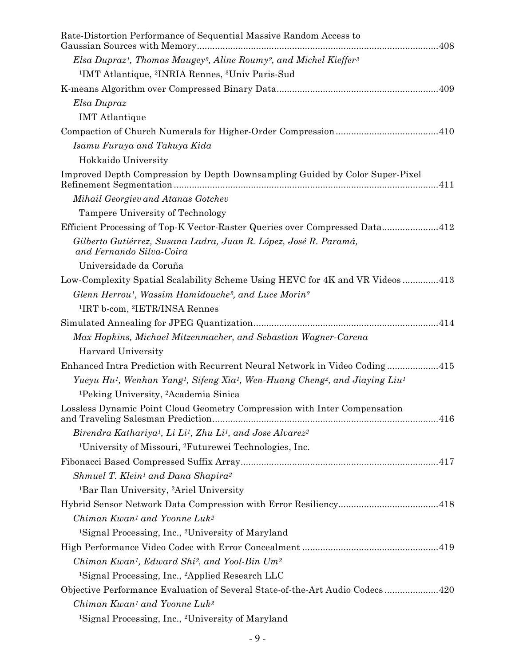| Rate-Distortion Performance of Sequential Massive Random Access to                                                                       |
|------------------------------------------------------------------------------------------------------------------------------------------|
| Elsa Dupraz <sup>1</sup> , Thomas Maugey <sup>2</sup> , Aline Roumy <sup>2</sup> , and Michel Kieffer <sup>3</sup>                       |
| <sup>1</sup> IMT Atlantique, <sup>2</sup> INRIA Rennes, <sup>3</sup> Univ Paris-Sud                                                      |
|                                                                                                                                          |
| Elsa Dupraz                                                                                                                              |
| <b>IMT</b> Atlantique                                                                                                                    |
|                                                                                                                                          |
| Isamu Furuya and Takuya Kida                                                                                                             |
| Hokkaido University                                                                                                                      |
| Improved Depth Compression by Depth Downsampling Guided by Color Super-Pixel                                                             |
| Mihail Georgiev and Atanas Gotchev                                                                                                       |
| Tampere University of Technology                                                                                                         |
| Efficient Processing of Top-K Vector-Raster Queries over Compressed Data412                                                              |
| Gilberto Gutiérrez, Susana Ladra, Juan R. López, José R. Paramá,<br>and Fernando Silva-Coira                                             |
| Universidade da Coruña                                                                                                                   |
| Low-Complexity Spatial Scalability Scheme Using HEVC for 4K and VR Videos413                                                             |
| Glenn Herrou <sup>1</sup> , Wassim Hamidouche <sup>2</sup> , and Luce Morin <sup>2</sup>                                                 |
| <sup>1</sup> IRT b-com, <sup>2</sup> IETR/INSA Rennes                                                                                    |
|                                                                                                                                          |
| Max Hopkins, Michael Mitzenmacher, and Sebastian Wagner-Carena                                                                           |
| Harvard University                                                                                                                       |
| Enhanced Intra Prediction with Recurrent Neural Network in Video Coding415                                                               |
| Yueyu Hu <sup>1</sup> , Wenhan Yang <sup>1</sup> , Sifeng Xia <sup>1</sup> , Wen-Huang Cheng <sup>2</sup> , and Jiaying Liu <sup>1</sup> |
| <sup>1</sup> Peking University, <sup>2</sup> Academia Sinica                                                                             |
| Lossless Dynamic Point Cloud Geometry Compression with Inter Compensation                                                                |
| Birendra Kathariya <sup>1</sup> , Li Li <sup>1</sup> , Zhu Li <sup>1</sup> , and Jose Alvarez <sup>2</sup>                               |
| <sup>1</sup> University of Missouri, <sup>2</sup> Futurewei Technologies, Inc.                                                           |
|                                                                                                                                          |
| Shmuel T. Klein <sup>1</sup> and Dana Shapira <sup>2</sup>                                                                               |
| <sup>1</sup> Bar Ilan University, <sup>2</sup> Ariel University                                                                          |
|                                                                                                                                          |
| Chiman Kwan <sup>1</sup> and Yvonne Luk <sup>2</sup>                                                                                     |
| <sup>1</sup> Signal Processing, Inc., <sup>2</sup> University of Maryland                                                                |
|                                                                                                                                          |
| Chiman Kwan <sup>1</sup> , Edward Shi <sup>2</sup> , and Yool-Bin Um <sup>2</sup>                                                        |
| <sup>1</sup> Signal Processing, Inc., <sup>2</sup> Applied Research LLC                                                                  |
| Objective Performance Evaluation of Several State-of-the-Art Audio Codecs420                                                             |
| Chiman Kwan <sup>1</sup> and Yvonne Luk <sup>2</sup>                                                                                     |
| <sup>1</sup> Signal Processing, Inc., <sup>2</sup> University of Maryland                                                                |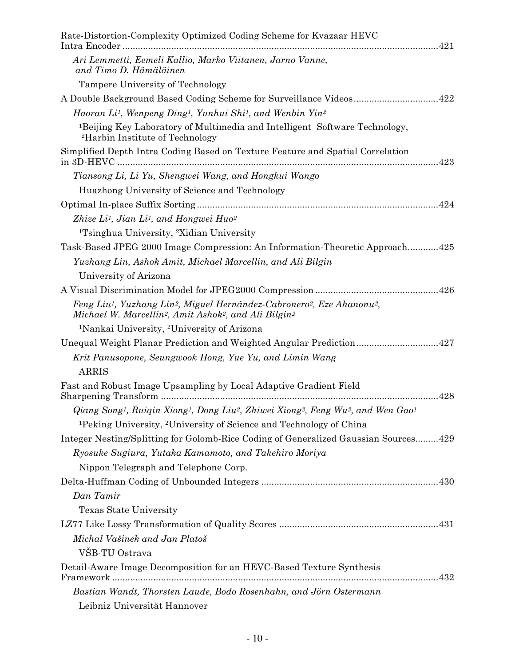| Rate-Distortion-Complexity Optimized Coding Scheme for Kvazaar HEVC                                                                                                                                                  |
|----------------------------------------------------------------------------------------------------------------------------------------------------------------------------------------------------------------------|
| Ari Lemmetti, Eemeli Kallio, Marko Viitanen, Jarno Vanne,<br>and Timo D. Hämäläinen                                                                                                                                  |
| Tampere University of Technology                                                                                                                                                                                     |
|                                                                                                                                                                                                                      |
| Haoran Li <sup>1</sup> , Wenpeng Ding <sup>1</sup> , Yunhui Shi <sup>1</sup> , and Wenbin Yin <sup>2</sup>                                                                                                           |
| <sup>1</sup> Beijing Key Laboratory of Multimedia and Intelligent Software Technology,<br><sup>2</sup> Harbin Institute of Technology                                                                                |
| Simplified Depth Intra Coding Based on Texture Feature and Spatial Correlation                                                                                                                                       |
| Tiansong Li, Li Yu, Shengwei Wang, and Hongkui Wango                                                                                                                                                                 |
| Huazhong University of Science and Technology                                                                                                                                                                        |
|                                                                                                                                                                                                                      |
| Zhize Li <sup>1</sup> , Jian Li <sup>1</sup> , and Hongwei Huo <sup>2</sup>                                                                                                                                          |
| <sup>1</sup> Tsinghua University, <sup>2</sup> Xidian University                                                                                                                                                     |
| Task-Based JPEG 2000 Image Compression: An Information-Theoretic Approach425                                                                                                                                         |
| Yuzhang Lin, Ashok Amit, Michael Marcellin, and Ali Bilgin                                                                                                                                                           |
| University of Arizona                                                                                                                                                                                                |
|                                                                                                                                                                                                                      |
| Feng Liu <sup>1</sup> , Yuzhang Lin <sup>2</sup> , Miguel Hernández-Cabronero <sup>2</sup> , Eze Ahanonu <sup>2</sup> ,<br>Michael W. Marcellin <sup>2</sup> , Amit Ashok <sup>2</sup> , and Ali Bilgin <sup>2</sup> |
| <sup>1</sup> Nankai University, <sup>2</sup> University of Arizona                                                                                                                                                   |
|                                                                                                                                                                                                                      |
| Krit Panusopone, Seungwook Hong, Yue Yu, and Limin Wang                                                                                                                                                              |
| <b>ARRIS</b>                                                                                                                                                                                                         |
| Fast and Robust Image Upsampling by Local Adaptive Gradient Field                                                                                                                                                    |
| Qiang Song <sup>1</sup> , Ruiqin Xiong <sup>1</sup> , Dong Liu <sup>2</sup> , Zhiwei Xiong <sup>2</sup> , Feng Wu <sup>2</sup> , and Wen Gao <sup>1</sup>                                                            |
| <sup>1</sup> Peking University, <sup>2</sup> University of Science and Technology of China                                                                                                                           |
| Integer Nesting/Splitting for Golomb-Rice Coding of Generalized Gaussian Sources429                                                                                                                                  |
| Ryosuke Sugiura, Yutaka Kamamoto, and Takehiro Moriya                                                                                                                                                                |
| Nippon Telegraph and Telephone Corp.                                                                                                                                                                                 |
|                                                                                                                                                                                                                      |
| Dan Tamir                                                                                                                                                                                                            |
| Texas State University                                                                                                                                                                                               |
|                                                                                                                                                                                                                      |
| Michal Vašinek and Jan Platoš                                                                                                                                                                                        |
| VŠB-TU Ostrava                                                                                                                                                                                                       |
| Detail-Aware Image Decomposition for an HEVC-Based Texture Synthesis                                                                                                                                                 |
| Bastian Wandt, Thorsten Laude, Bodo Rosenhahn, and Jörn Ostermann                                                                                                                                                    |
| Leibniz Universität Hannover                                                                                                                                                                                         |